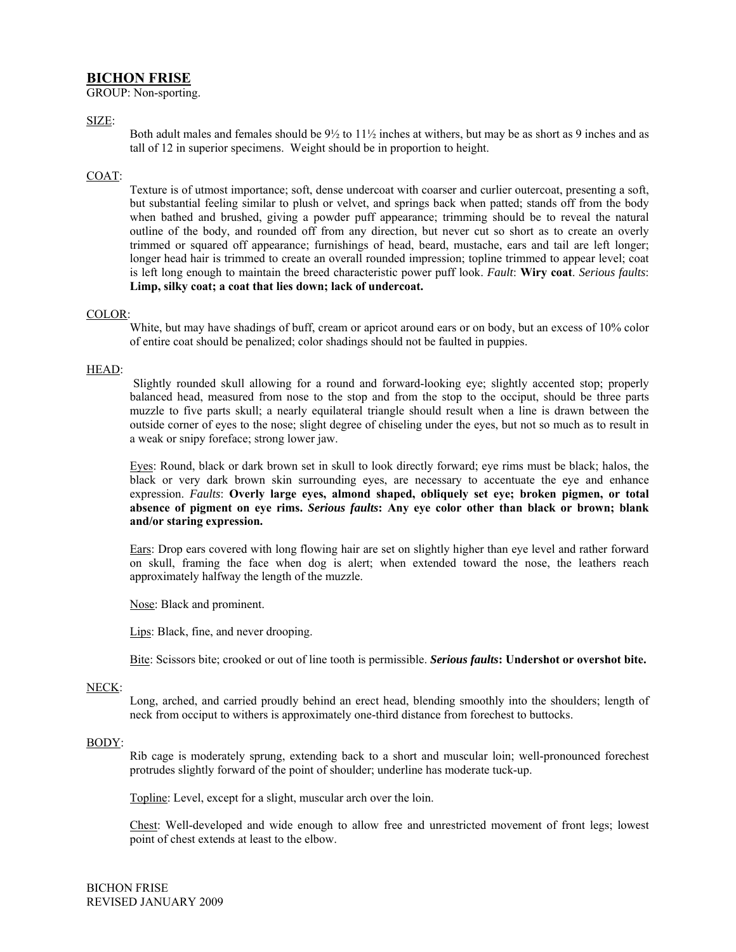# **BICHON FRISE**

GROUP: Non-sporting.

## SIZE:

Both adult males and females should be  $9\frac{1}{2}$  to  $11\frac{1}{2}$  inches at withers, but may be as short as 9 inches and as tall of 12 in superior specimens. Weight should be in proportion to height.

## COAT:

Texture is of utmost importance; soft, dense undercoat with coarser and curlier outercoat, presenting a soft, but substantial feeling similar to plush or velvet, and springs back when patted; stands off from the body when bathed and brushed, giving a powder puff appearance; trimming should be to reveal the natural outline of the body, and rounded off from any direction, but never cut so short as to create an overly trimmed or squared off appearance; furnishings of head, beard, mustache, ears and tail are left longer; longer head hair is trimmed to create an overall rounded impression; topline trimmed to appear level; coat is left long enough to maintain the breed characteristic power puff look. *Fault*: **Wiry coat**. *Serious faults*: **Limp, silky coat; a coat that lies down; lack of undercoat.** 

### COLOR:

White, but may have shadings of buff, cream or apricot around ears or on body, but an excess of 10% color of entire coat should be penalized; color shadings should not be faulted in puppies.

### HEAD:

Slightly rounded skull allowing for a round and forward-looking eye; slightly accented stop; properly balanced head, measured from nose to the stop and from the stop to the occiput, should be three parts muzzle to five parts skull; a nearly equilateral triangle should result when a line is drawn between the outside corner of eyes to the nose; slight degree of chiseling under the eyes, but not so much as to result in a weak or snipy foreface; strong lower jaw.

Eyes: Round, black or dark brown set in skull to look directly forward; eye rims must be black; halos, the black or very dark brown skin surrounding eyes, are necessary to accentuate the eye and enhance expression. *Faults*: **Overly large eyes, almond shaped, obliquely set eye; broken pigmen, or total absence of pigment on eye rims.** *Serious faults***: Any eye color other than black or brown; blank and/or staring expression.** 

Ears: Drop ears covered with long flowing hair are set on slightly higher than eye level and rather forward on skull, framing the face when dog is alert; when extended toward the nose, the leathers reach approximately halfway the length of the muzzle.

Nose: Black and prominent.

Lips: Black, fine, and never drooping.

Bite: Scissors bite; crooked or out of line tooth is permissible. *Serious faults***: Undershot or overshot bite.** 

### NECK:

Long, arched, and carried proudly behind an erect head, blending smoothly into the shoulders; length of neck from occiput to withers is approximately one-third distance from forechest to buttocks.

### BODY:

Rib cage is moderately sprung, extending back to a short and muscular loin; well-pronounced forechest protrudes slightly forward of the point of shoulder; underline has moderate tuck-up.

Topline: Level, except for a slight, muscular arch over the loin.

Chest: Well-developed and wide enough to allow free and unrestricted movement of front legs; lowest point of chest extends at least to the elbow.